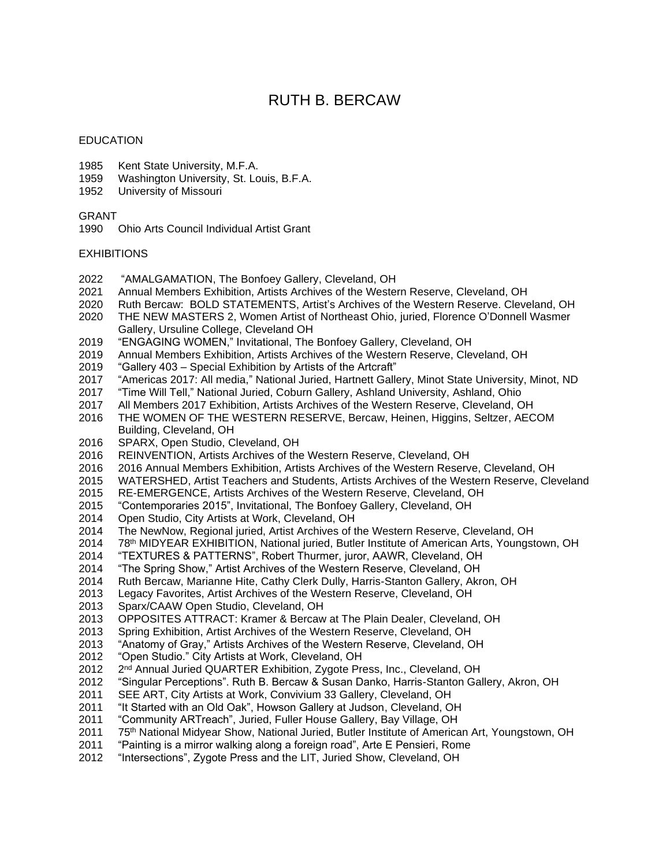# RUTH B. BERCAW

#### EDUCATION

- Kent State University, M.F.A.
- Washington University, St. Louis, B.F.A.
- University of Missouri

## GRANT

Ohio Arts Council Individual Artist Grant

## **EXHIBITIONS**

- "AMALGAMATION, The Bonfoey Gallery, Cleveland, OH
- Annual Members Exhibition, Artists Archives of the Western Reserve, Cleveland, OH
- Ruth Bercaw: BOLD STATEMENTS, Artist's Archives of the Western Reserve. Cleveland, OH
- THE NEW MASTERS 2, Women Artist of Northeast Ohio, juried, Florence O'Donnell Wasmer Gallery, Ursuline College, Cleveland OH
- "ENGAGING WOMEN," Invitational, The Bonfoey Gallery, Cleveland, OH
- Annual Members Exhibition, Artists Archives of the Western Reserve, Cleveland, OH
- "Gallery 403 Special Exhibition by Artists of the Artcraft"
- "Americas 2017: All media," National Juried, Hartnett Gallery, Minot State University, Minot, ND
- "Time Will Tell," National Juried, Coburn Gallery, Ashland University, Ashland, Ohio
- All Members 2017 Exhibition, Artists Archives of the Western Reserve, Cleveland, OH
- THE WOMEN OF THE WESTERN RESERVE, Bercaw, Heinen, Higgins, Seltzer, AECOM Building, Cleveland, OH
- SPARX, Open Studio, Cleveland, OH
- REINVENTION, Artists Archives of the Western Reserve, Cleveland, OH
- 2016 Annual Members Exhibition, Artists Archives of the Western Reserve, Cleveland, OH
- WATERSHED, Artist Teachers and Students, Artists Archives of the Western Reserve, Cleveland
- RE-EMERGENCE, Artists Archives of the Western Reserve, Cleveland, OH
- "Contemporaries 2015", Invitational, The Bonfoey Gallery, Cleveland, OH
- Open Studio, City Artists at Work, Cleveland, OH
- The NewNow, Regional juried, Artist Archives of the Western Reserve, Cleveland, OH
- 78th MIDYEAR EXHIBITION, National juried, Butler Institute of American Arts, Youngstown, OH
- "TEXTURES & PATTERNS", Robert Thurmer, juror, AAWR, Cleveland, OH
- "The Spring Show," Artist Archives of the Western Reserve, Cleveland, OH
- Ruth Bercaw, Marianne Hite, Cathy Clerk Dully, Harris-Stanton Gallery, Akron, OH
- Legacy Favorites, Artist Archives of the Western Reserve, Cleveland, OH
- Sparx/CAAW Open Studio, Cleveland, OH
- 2013 OPPOSITES ATTRACT: Kramer & Bercaw at The Plain Dealer, Cleveland, OH<br>2013 Spring Exhibition, Artist Archives of the Western Reserve, Cleveland, OH
- Spring Exhibition, Artist Archives of the Western Reserve, Cleveland, OH
- "Anatomy of Gray," Artists Archives of the Western Reserve, Cleveland, OH
- "Open Studio." City Artists at Work, Cleveland, OH
- 2<sup>nd</sup> Annual Juried QUARTER Exhibition, Zygote Press, Inc., Cleveland, OH
- "Singular Perceptions". Ruth B. Bercaw & Susan Danko, Harris-Stanton Gallery, Akron, OH
- SEE ART, City Artists at Work, Convivium 33 Gallery, Cleveland, OH
- "It Started with an Old Oak", Howson Gallery at Judson, Cleveland, OH
- "Community ARTreach", Juried, Fuller House Gallery, Bay Village, OH
- 2011 75<sup>th</sup> National Midyear Show, National Juried, Butler Institute of American Art, Youngstown, OH
- "Painting is a mirror walking along a foreign road", Arte E Pensieri, Rome
- "Intersections", Zygote Press and the LIT, Juried Show, Cleveland, OH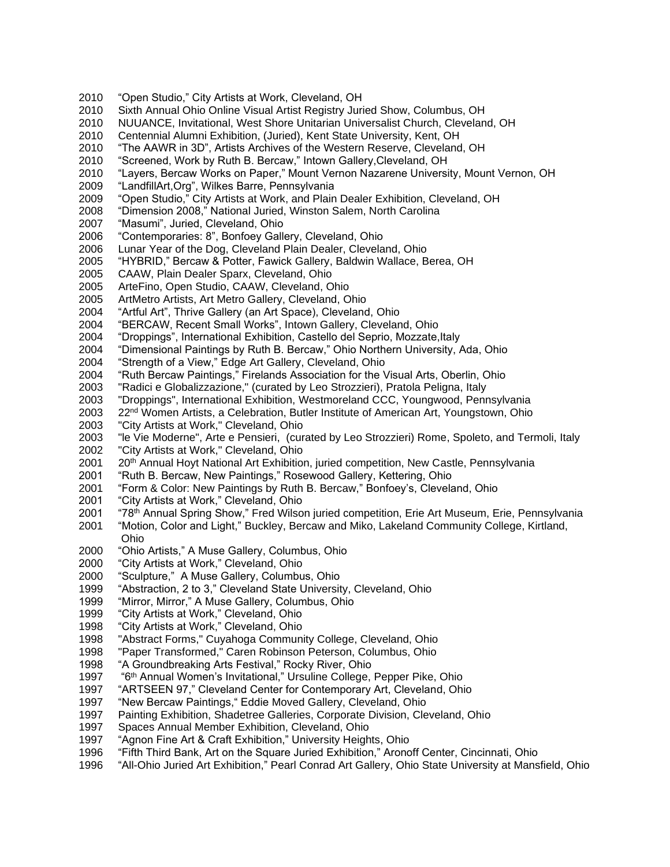- "Open Studio," City Artists at Work, Cleveland, OH
- Sixth Annual Ohio Online Visual Artist Registry Juried Show, Columbus, OH
- NUUANCE, Invitational, West Shore Unitarian Universalist Church, Cleveland, OH
- Centennial Alumni Exhibition, (Juried), Kent State University, Kent, OH
- "The AAWR in 3D", Artists Archives of the Western Reserve, Cleveland, OH
- "Screened, Work by Ruth B. Bercaw," Intown Gallery,Cleveland, OH
- "Layers, Bercaw Works on Paper," Mount Vernon Nazarene University, Mount Vernon, OH
- "LandfillArt,Org", Wilkes Barre, Pennsylvania
- 2009 "Open Studio," City Artists at Work, and Plain Dealer Exhibition, Cleveland, OH
- "Dimension 2008," National Juried, Winston Salem, North Carolina
- "Masumi", Juried, Cleveland, Ohio
- 2006 "Contemporaries: 8", Bonfoey Gallery, Cleveland, Ohio
- Lunar Year of the Dog, Cleveland Plain Dealer, Cleveland, Ohio
- "HYBRID," Bercaw & Potter, Fawick Gallery, Baldwin Wallace, Berea, OH
- CAAW, Plain Dealer Sparx, Cleveland, Ohio
- 2005 ArteFino, Open Studio, CAAW, Cleveland, Ohio
- 2005 ArtMetro Artists, Art Metro Gallery, Cleveland, Ohio
- "Artful Art", Thrive Gallery (an Art Space), Cleveland, Ohio
- 
- 2004 "BERCAW, Recent Small Works", Intown Gallery, Cleveland, Ohio<br>2004 "Droppings", International Exhibition, Castello del Seprio, Mozzate, "Droppings", International Exhibition, Castello del Seprio, Mozzate, Italy
- "Dimensional Paintings by Ruth B. Bercaw," Ohio Northern University, Ada, Ohio
- "Strength of a View," Edge Art Gallery, Cleveland, Ohio
- "Ruth Bercaw Paintings," Firelands Association for the Visual Arts, Oberlin, Ohio
- "Radici e Globalizzazione," (curated by Leo Strozzieri), Pratola Peligna, Italy
- "Droppings", International Exhibition, Westmoreland CCC, Youngwood, Pennsylvania
- 22nd Women Artists, a Celebration, Butler Institute of American Art, Youngstown, Ohio
- 2003 "City Artists at Work," Cleveland, Ohio
- "le Vie Moderne", Arte e Pensieri, (curated by Leo Strozzieri) Rome, Spoleto, and Termoli, Italy 2002 "City Artists at Work," Cleveland, Ohio
- 2001 20<sup>th</sup> Annual Hoyt National Art Exhibition, juried competition, New Castle, Pennsylvania<br>2001 "Ruth B. Bercaw, New Paintings," Rosewood Gallery, Kettering, Ohio
- "Ruth B. Bercaw, New Paintings," Rosewood Gallery, Kettering, Ohio
- "Form & Color: New Paintings by Ruth B. Bercaw," Bonfoey's, Cleveland, Ohio
- 2001 "City Artists at Work," Cleveland, Ohio
- 2001 "78th Annual Spring Show," Fred Wilson juried competition, Erie Art Museum, Erie, Pennsylvania
- "Motion, Color and Light," Buckley, Bercaw and Miko, Lakeland Community College, Kirtland, Ohio
- "Ohio Artists," A Muse Gallery, Columbus, Ohio
- 2000 "City Artists at Work," Cleveland, Ohio
- "Sculpture," A Muse Gallery, Columbus, Ohio
- "Abstraction, 2 to 3," Cleveland State University, Cleveland, Ohio
- 1999 "Mirror, Mirror," A Muse Gallery, Columbus, Ohio
- "City Artists at Work," Cleveland, Ohio
- "City Artists at Work," Cleveland, Ohio
- "Abstract Forms," Cuyahoga Community College, Cleveland, Ohio
- "Paper Transformed," Caren Robinson Peterson, Columbus, Ohio
- 1998 "A Groundbreaking Arts Festival," Rocky River, Ohio
- 1997 "6<sup>th</sup> Annual Women's Invitational," Ursuline College, Pepper Pike, Ohio
- "ARTSEEN 97," Cleveland Center for Contemporary Art, Cleveland, Ohio
- "New Bercaw Paintings," Eddie Moved Gallery, Cleveland, Ohio
- Painting Exhibition, Shadetree Galleries, Corporate Division, Cleveland, Ohio
- Spaces Annual Member Exhibition, Cleveland, Ohio
- "Agnon Fine Art & Craft Exhibition," University Heights, Ohio
- "Fifth Third Bank, Art on the Square Juried Exhibition," Aronoff Center, Cincinnati, Ohio
- 1996 "All-Ohio Juried Art Exhibition," Pearl Conrad Art Gallery, Ohio State University at Mansfield, Ohio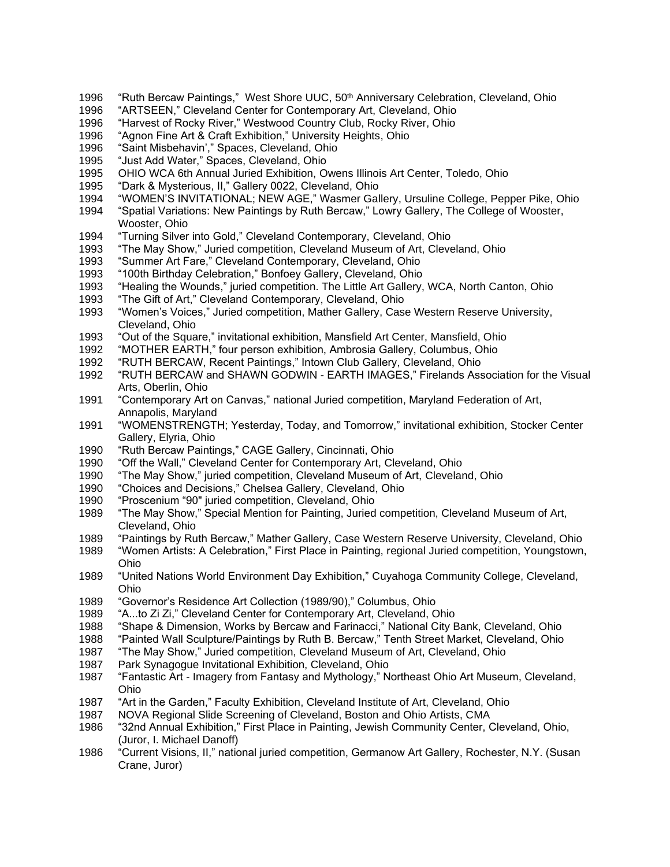- "Ruth Bercaw Paintings," West Shore UUC, 50th Anniversary Celebration, Cleveland, Ohio
- "ARTSEEN," Cleveland Center for Contemporary Art, Cleveland, Ohio
- "Harvest of Rocky River," Westwood Country Club, Rocky River, Ohio
- "Agnon Fine Art & Craft Exhibition," University Heights, Ohio
- "Saint Misbehavin'," Spaces, Cleveland, Ohio
- "Just Add Water," Spaces, Cleveland, Ohio
- OHIO WCA 6th Annual Juried Exhibition, Owens Illinois Art Center, Toledo, Ohio
- "Dark & Mysterious, II," Gallery 0022, Cleveland, Ohio
- "WOMEN'S INVITATIONAL; NEW AGE," Wasmer Gallery, Ursuline College, Pepper Pike, Ohio
- "Spatial Variations: New Paintings by Ruth Bercaw," Lowry Gallery, The College of Wooster, Wooster, Ohio
- "Turning Silver into Gold," Cleveland Contemporary, Cleveland, Ohio
- "The May Show," Juried competition, Cleveland Museum of Art, Cleveland, Ohio
- "Summer Art Fare," Cleveland Contemporary, Cleveland, Ohio
- "100th Birthday Celebration," Bonfoey Gallery, Cleveland, Ohio
- "Healing the Wounds," juried competition. The Little Art Gallery, WCA, North Canton, Ohio
- "The Gift of Art," Cleveland Contemporary, Cleveland, Ohio
- "Women's Voices," Juried competition, Mather Gallery, Case Western Reserve University, Cleveland, Ohio
- "Out of the Square," invitational exhibition, Mansfield Art Center, Mansfield, Ohio
- "MOTHER EARTH," four person exhibition, Ambrosia Gallery, Columbus, Ohio
- "RUTH BERCAW, Recent Paintings," Intown Club Gallery, Cleveland, Ohio
- "RUTH BERCAW and SHAWN GODWIN EARTH IMAGES," Firelands Association for the Visual Arts, Oberlin, Ohio
- "Contemporary Art on Canvas," national Juried competition, Maryland Federation of Art, Annapolis, Maryland
- "WOMENSTRENGTH; Yesterday, Today, and Tomorrow," invitational exhibition, Stocker Center Gallery, Elyria, Ohio
- "Ruth Bercaw Paintings," CAGE Gallery, Cincinnati, Ohio
- "Off the Wall," Cleveland Center for Contemporary Art, Cleveland, Ohio
- "The May Show," juried competition, Cleveland Museum of Art, Cleveland, Ohio
- "Choices and Decisions," Chelsea Gallery, Cleveland, Ohio
- "Proscenium "90" juried competition, Cleveland, Ohio
- "The May Show," Special Mention for Painting, Juried competition, Cleveland Museum of Art, Cleveland, Ohio
- "Paintings by Ruth Bercaw," Mather Gallery, Case Western Reserve University, Cleveland, Ohio
- "Women Artists: A Celebration," First Place in Painting, regional Juried competition, Youngstown, Ohio
- "United Nations World Environment Day Exhibition," Cuyahoga Community College, Cleveland, Ohio
- "Governor's Residence Art Collection (1989/90)," Columbus, Ohio
- "A...to Zi Zi," Cleveland Center for Contemporary Art, Cleveland, Ohio
- "Shape & Dimension, Works by Bercaw and Farinacci," National City Bank, Cleveland, Ohio
- "Painted Wall Sculpture/Paintings by Ruth B. Bercaw," Tenth Street Market, Cleveland, Ohio
- "The May Show," Juried competition, Cleveland Museum of Art, Cleveland, Ohio
- Park Synagogue Invitational Exhibition, Cleveland, Ohio
- "Fantastic Art Imagery from Fantasy and Mythology," Northeast Ohio Art Museum, Cleveland, Ohio
- "Art in the Garden," Faculty Exhibition, Cleveland Institute of Art, Cleveland, Ohio
- NOVA Regional Slide Screening of Cleveland, Boston and Ohio Artists, CMA
- "32nd Annual Exhibition," First Place in Painting, Jewish Community Center, Cleveland, Ohio, (Juror, I. Michael Danoff)
- "Current Visions, II," national juried competition, Germanow Art Gallery, Rochester, N.Y. (Susan Crane, Juror)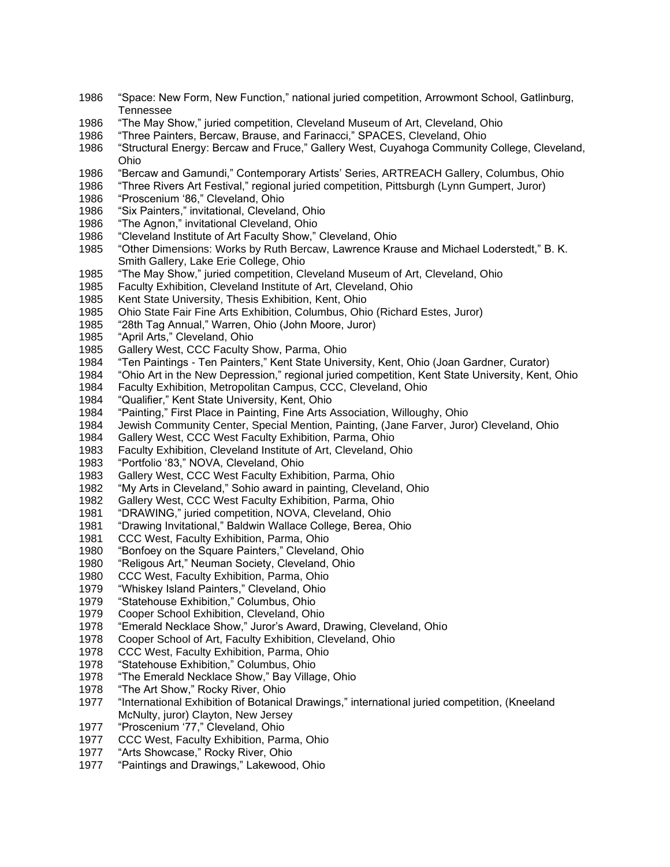- "Space: New Form, New Function," national juried competition, Arrowmont School, Gatlinburg, Tennessee
- "The May Show," juried competition, Cleveland Museum of Art, Cleveland, Ohio
- "Three Painters, Bercaw, Brause, and Farinacci," SPACES, Cleveland, Ohio
- "Structural Energy: Bercaw and Fruce," Gallery West, Cuyahoga Community College, Cleveland, Ohio
- "Bercaw and Gamundi," Contemporary Artists' Series, ARTREACH Gallery, Columbus, Ohio
- "Three Rivers Art Festival," regional juried competition, Pittsburgh (Lynn Gumpert, Juror)
- "Proscenium '86," Cleveland, Ohio
- "Six Painters," invitational, Cleveland, Ohio
- "The Agnon," invitational Cleveland, Ohio
- "Cleveland Institute of Art Faculty Show," Cleveland, Ohio
- "Other Dimensions: Works by Ruth Bercaw, Lawrence Krause and Michael Loderstedt," B. K. Smith Gallery, Lake Erie College, Ohio
- "The May Show," juried competition, Cleveland Museum of Art, Cleveland, Ohio
- Faculty Exhibition, Cleveland Institute of Art, Cleveland, Ohio
- Kent State University, Thesis Exhibition, Kent, Ohio
- Ohio State Fair Fine Arts Exhibition, Columbus, Ohio (Richard Estes, Juror)
- "28th Tag Annual," Warren, Ohio (John Moore, Juror)
- "April Arts," Cleveland, Ohio
- Gallery West, CCC Faculty Show, Parma, Ohio
- "Ten Paintings Ten Painters," Kent State University, Kent, Ohio (Joan Gardner, Curator)
- "Ohio Art in the New Depression," regional juried competition, Kent State University, Kent, Ohio
- Faculty Exhibition, Metropolitan Campus, CCC, Cleveland, Ohio
- "Qualifier," Kent State University, Kent, Ohio
- "Painting," First Place in Painting, Fine Arts Association, Willoughy, Ohio
- Jewish Community Center, Special Mention, Painting, (Jane Farver, Juror) Cleveland, Ohio
- Gallery West, CCC West Faculty Exhibition, Parma, Ohio
- Faculty Exhibition, Cleveland Institute of Art, Cleveland, Ohio
- "Portfolio '83," NOVA, Cleveland, Ohio
- Gallery West, CCC West Faculty Exhibition, Parma, Ohio
- "My Arts in Cleveland," Sohio award in painting, Cleveland, Ohio
- Gallery West, CCC West Faculty Exhibition, Parma, Ohio
- "DRAWING," juried competition, NOVA, Cleveland, Ohio
- "Drawing Invitational," Baldwin Wallace College, Berea, Ohio
- CCC West, Faculty Exhibition, Parma, Ohio
- "Bonfoey on the Square Painters," Cleveland, Ohio
- "Religous Art," Neuman Society, Cleveland, Ohio
- CCC West, Faculty Exhibition, Parma, Ohio
- "Whiskey Island Painters," Cleveland, Ohio
- "Statehouse Exhibition," Columbus, Ohio
- Cooper School Exhibition, Cleveland, Ohio
- "Emerald Necklace Show," Juror's Award, Drawing, Cleveland, Ohio
- Cooper School of Art, Faculty Exhibition, Cleveland, Ohio
- CCC West, Faculty Exhibition, Parma, Ohio
- "Statehouse Exhibition," Columbus, Ohio
- "The Emerald Necklace Show," Bay Village, Ohio
- "The Art Show," Rocky River, Ohio
- "International Exhibition of Botanical Drawings," international juried competition, (Kneeland McNulty, juror) Clayton, New Jersey
- "Proscenium '77," Cleveland, Ohio
- CCC West, Faculty Exhibition, Parma, Ohio
- "Arts Showcase," Rocky River, Ohio
- "Paintings and Drawings," Lakewood, Ohio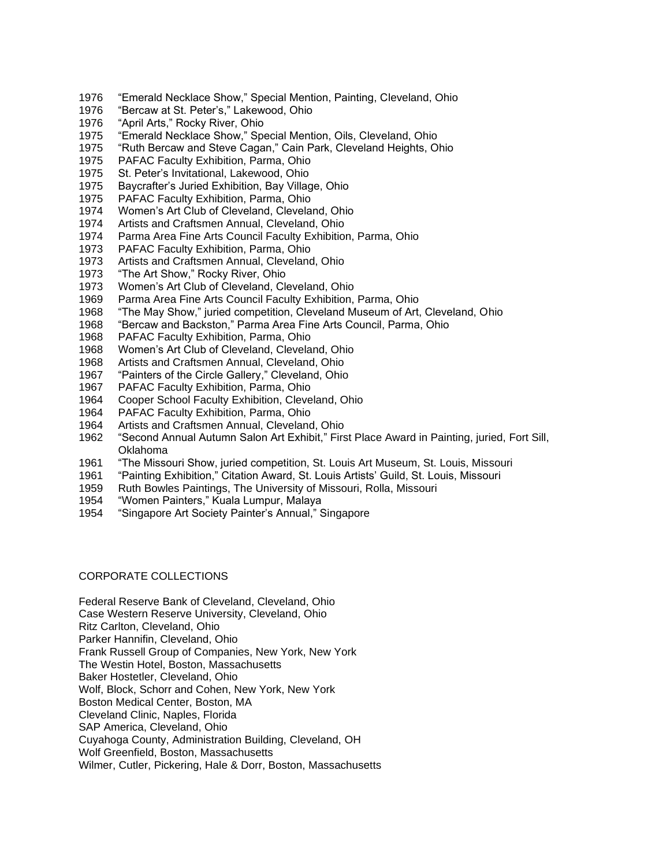- "Emerald Necklace Show," Special Mention, Painting, Cleveland, Ohio
- "Bercaw at St. Peter's," Lakewood, Ohio
- "April Arts," Rocky River, Ohio
- "Emerald Necklace Show," Special Mention, Oils, Cleveland, Ohio
- "Ruth Bercaw and Steve Cagan," Cain Park, Cleveland Heights, Ohio
- PAFAC Faculty Exhibition, Parma, Ohio
- St. Peter's Invitational, Lakewood, Ohio
- Baycrafter's Juried Exhibition, Bay Village, Ohio
- PAFAC Faculty Exhibition, Parma, Ohio
- Women's Art Club of Cleveland, Cleveland, Ohio
- Artists and Craftsmen Annual, Cleveland, Ohio
- Parma Area Fine Arts Council Faculty Exhibition, Parma, Ohio
- PAFAC Faculty Exhibition, Parma, Ohio
- Artists and Craftsmen Annual, Cleveland, Ohio
- "The Art Show," Rocky River, Ohio
- Women's Art Club of Cleveland, Cleveland, Ohio
- Parma Area Fine Arts Council Faculty Exhibition, Parma, Ohio
- "The May Show," juried competition, Cleveland Museum of Art, Cleveland, Ohio
- "Bercaw and Backston," Parma Area Fine Arts Council, Parma, Ohio
- PAFAC Faculty Exhibition, Parma, Ohio
- Women's Art Club of Cleveland, Cleveland, Ohio
- Artists and Craftsmen Annual, Cleveland, Ohio
- "Painters of the Circle Gallery," Cleveland, Ohio
- PAFAC Faculty Exhibition, Parma, Ohio
- Cooper School Faculty Exhibition, Cleveland, Ohio
- PAFAC Faculty Exhibition, Parma, Ohio
- Artists and Craftsmen Annual, Cleveland, Ohio
- "Second Annual Autumn Salon Art Exhibit," First Place Award in Painting, juried, Fort Sill, Oklahoma
- "The Missouri Show, juried competition, St. Louis Art Museum, St. Louis, Missouri
- "Painting Exhibition," Citation Award, St. Louis Artists' Guild, St. Louis, Missouri
- Ruth Bowles Paintings, The University of Missouri, Rolla, Missouri
- "Women Painters," Kuala Lumpur, Malaya
- "Singapore Art Society Painter's Annual," Singapore

#### CORPORATE COLLECTIONS

Federal Reserve Bank of Cleveland, Cleveland, Ohio Case Western Reserve University, Cleveland, Ohio Ritz Carlton, Cleveland, Ohio Parker Hannifin, Cleveland, Ohio Frank Russell Group of Companies, New York, New York The Westin Hotel, Boston, Massachusetts Baker Hostetler, Cleveland, Ohio Wolf, Block, Schorr and Cohen, New York, New York Boston Medical Center, Boston, MA Cleveland Clinic, Naples, Florida SAP America, Cleveland, Ohio Cuyahoga County, Administration Building, Cleveland, OH Wolf Greenfield, Boston, Massachusetts Wilmer, Cutler, Pickering, Hale & Dorr, Boston, Massachusetts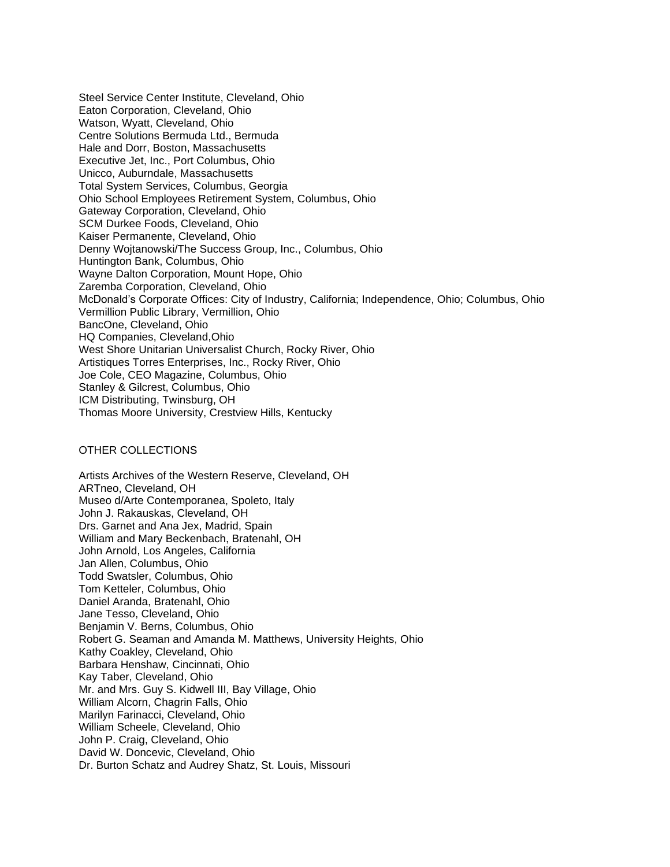Steel Service Center Institute, Cleveland, Ohio Eaton Corporation, Cleveland, Ohio Watson, Wyatt, Cleveland, Ohio Centre Solutions Bermuda Ltd., Bermuda Hale and Dorr, Boston, Massachusetts Executive Jet, Inc., Port Columbus, Ohio Unicco, Auburndale, Massachusetts Total System Services, Columbus, Georgia Ohio School Employees Retirement System, Columbus, Ohio Gateway Corporation, Cleveland, Ohio SCM Durkee Foods, Cleveland, Ohio Kaiser Permanente, Cleveland, Ohio Denny Wojtanowski/The Success Group, Inc., Columbus, Ohio Huntington Bank, Columbus, Ohio Wayne Dalton Corporation, Mount Hope, Ohio Zaremba Corporation, Cleveland, Ohio McDonald's Corporate Offices: City of Industry, California; Independence, Ohio; Columbus, Ohio Vermillion Public Library, Vermillion, Ohio BancOne, Cleveland, Ohio HQ Companies, Cleveland,Ohio West Shore Unitarian Universalist Church, Rocky River, Ohio Artistiques Torres Enterprises, Inc., Rocky River, Ohio Joe Cole, CEO Magazine, Columbus, Ohio Stanley & Gilcrest, Columbus, Ohio ICM Distributing, Twinsburg, OH Thomas Moore University, Crestview Hills, Kentucky

#### OTHER COLLECTIONS

Artists Archives of the Western Reserve, Cleveland, OH ARTneo, Cleveland, OH Museo d/Arte Contemporanea, Spoleto, Italy John J. Rakauskas, Cleveland, OH Drs. Garnet and Ana Jex, Madrid, Spain William and Mary Beckenbach, Bratenahl, OH John Arnold, Los Angeles, California Jan Allen, Columbus, Ohio Todd Swatsler, Columbus, Ohio Tom Ketteler, Columbus, Ohio Daniel Aranda, Bratenahl, Ohio Jane Tesso, Cleveland, Ohio Benjamin V. Berns, Columbus, Ohio Robert G. Seaman and Amanda M. Matthews, University Heights, Ohio Kathy Coakley, Cleveland, Ohio Barbara Henshaw, Cincinnati, Ohio Kay Taber, Cleveland, Ohio Mr. and Mrs. Guy S. Kidwell III, Bay Village, Ohio William Alcorn, Chagrin Falls, Ohio Marilyn Farinacci, Cleveland, Ohio William Scheele, Cleveland, Ohio John P. Craig, Cleveland, Ohio David W. Doncevic, Cleveland, Ohio Dr. Burton Schatz and Audrey Shatz, St. Louis, Missouri